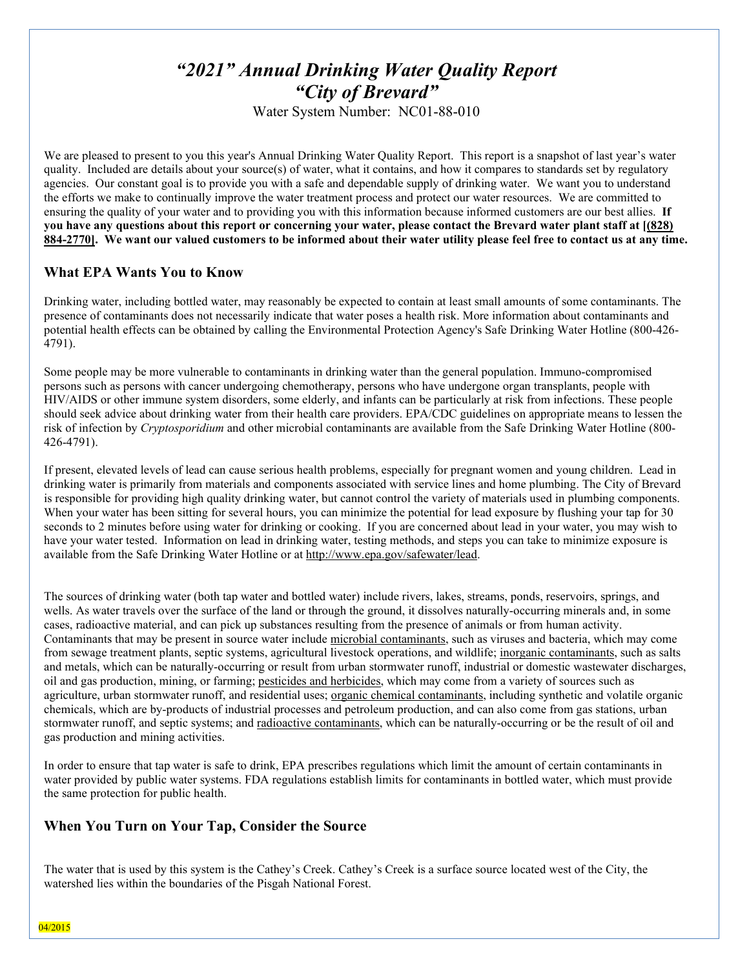# *"2021" Annual Drinking Water Quality Report "City of Brevard"*

Water System Number: NC01-88-010

We are pleased to present to you this year's Annual Drinking Water Quality Report. This report is a snapshot of last year's water quality. Included are details about your source(s) of water, what it contains, and how it compares to standards set by regulatory agencies. Our constant goal is to provide you with a safe and dependable supply of drinking water. We want you to understand the efforts we make to continually improve the water treatment process and protect our water resources. We are committed to ensuring the quality of your water and to providing you with this information because informed customers are our best allies. **If you have any questions about this report or concerning your water, please contact the Brevard water plant staff at [(828) 884-2770]. We want our valued customers to be informed about their water utility please feel free to contact us at any time.**

# **What EPA Wants You to Know**

Drinking water, including bottled water, may reasonably be expected to contain at least small amounts of some contaminants. The presence of contaminants does not necessarily indicate that water poses a health risk. More information about contaminants and potential health effects can be obtained by calling the Environmental Protection Agency's Safe Drinking Water Hotline (800-426- 4791).

Some people may be more vulnerable to contaminants in drinking water than the general population. Immuno-compromised persons such as persons with cancer undergoing chemotherapy, persons who have undergone organ transplants, people with HIV/AIDS or other immune system disorders, some elderly, and infants can be particularly at risk from infections. These people should seek advice about drinking water from their health care providers. EPA/CDC guidelines on appropriate means to lessen the risk of infection by *Cryptosporidium* and other microbial contaminants are available from the Safe Drinking Water Hotline (800- 426-4791).

If present, elevated levels of lead can cause serious health problems, especially for pregnant women and young children. Lead in drinking water is primarily from materials and components associated with service lines and home plumbing. The City of Brevard is responsible for providing high quality drinking water, but cannot control the variety of materials used in plumbing components. When your water has been sitting for several hours, you can minimize the potential for lead exposure by flushing your tap for 30 seconds to 2 minutes before using water for drinking or cooking. If you are concerned about lead in your water, you may wish to have your water tested. Information on lead in drinking water, testing methods, and steps you can take to minimize exposure is available from the Safe Drinking Water Hotline or at [http://www.epa.gov/safewater/lead.](http://www.epa.gov/safewater/lead)

The sources of drinking water (both tap water and bottled water) include rivers, lakes, streams, ponds, reservoirs, springs, and wells. As water travels over the surface of the land or through the ground, it dissolves naturally-occurring minerals and, in some cases, radioactive material, and can pick up substances resulting from the presence of animals or from human activity. Contaminants that may be present in source water include microbial contaminants, such as viruses and bacteria, which may come from sewage treatment plants, septic systems, agricultural livestock operations, and wildlife; inorganic contaminants, such as salts and metals, which can be naturally-occurring or result from urban stormwater runoff, industrial or domestic wastewater discharges, oil and gas production, mining, or farming; pesticides and herbicides, which may come from a variety of sources such as agriculture, urban stormwater runoff, and residential uses; organic chemical contaminants, including synthetic and volatile organic chemicals, which are by-products of industrial processes and petroleum production, and can also come from gas stations, urban stormwater runoff, and septic systems; and radioactive contaminants, which can be naturally-occurring or be the result of oil and gas production and mining activities.

In order to ensure that tap water is safe to drink, EPA prescribes regulations which limit the amount of certain contaminants in water provided by public water systems. FDA regulations establish limits for contaminants in bottled water, which must provide the same protection for public health.

# **When You Turn on Your Tap, Consider the Source**

The water that is used by this system is the Cathey's Creek. Cathey's Creek is a surface source located west of the City, the watershed lies within the boundaries of the Pisgah National Forest.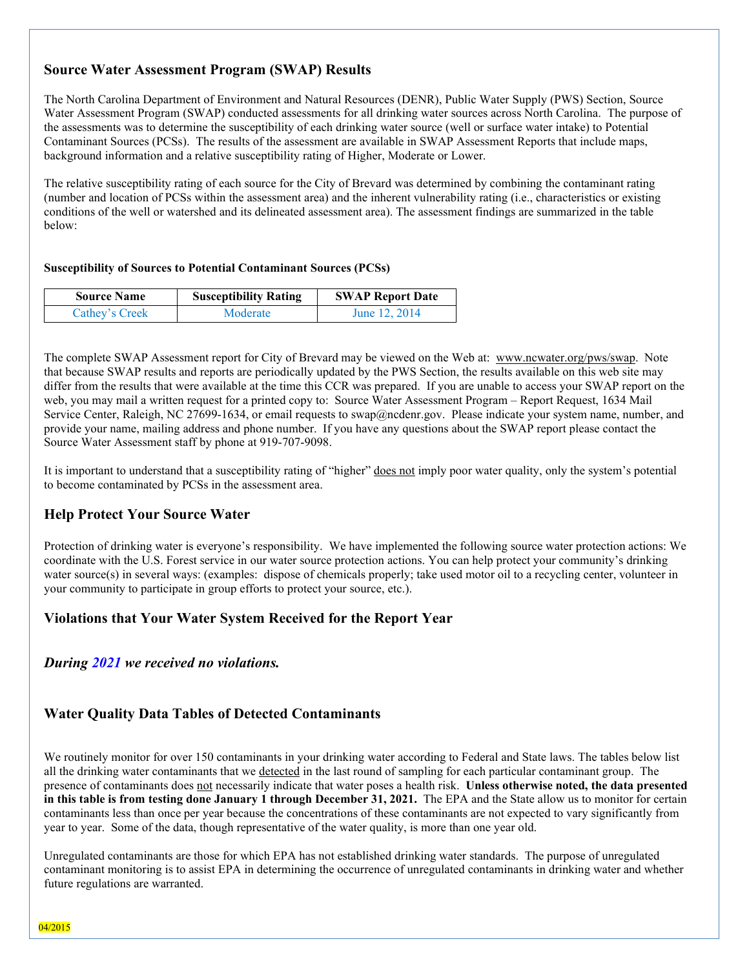# **Source Water Assessment Program (SWAP) Results**

The North Carolina Department of Environment and Natural Resources (DENR), Public Water Supply (PWS) Section, Source Water Assessment Program (SWAP) conducted assessments for all drinking water sources across North Carolina. The purpose of the assessments was to determine the susceptibility of each drinking water source (well or surface water intake) to Potential Contaminant Sources (PCSs). The results of the assessment are available in SWAP Assessment Reports that include maps, background information and a relative susceptibility rating of Higher, Moderate or Lower.

The relative susceptibility rating of each source for the City of Brevard was determined by combining the contaminant rating (number and location of PCSs within the assessment area) and the inherent vulnerability rating (i.e., characteristics or existing conditions of the well or watershed and its delineated assessment area). The assessment findings are summarized in the table below:

### **Susceptibility of Sources to Potential Contaminant Sources (PCSs)**

| <b>Source Name</b> | <b>Susceptibility Rating</b> | <b>SWAP Report Date</b> |  |  |
|--------------------|------------------------------|-------------------------|--|--|
| Cathey's Creek     | Moderate                     | June 12, 2014           |  |  |

The complete SWAP Assessment report for City of Brevard may be viewed on the Web at: [www.ncwater.org/pws/swap.](http://www.ncwater.org/pws/swap) Note that because SWAP results and reports are periodically updated by the PWS Section, the results available on this web site may differ from the results that were available at the time this CCR was prepared. If you are unable to access your SWAP report on the web, you may mail a written request for a printed copy to: Source Water Assessment Program – Report Request, 1634 Mail Service Center, Raleigh, NC 27699-1634, or email requests to swap@ncdenr.gov. Please indicate your system name, number, and provide your name, mailing address and phone number. If you have any questions about the SWAP report please contact the Source Water Assessment staff by phone at 919-707-9098.

It is important to understand that a susceptibility rating of "higher" does not imply poor water quality, only the system's potential to become contaminated by PCSs in the assessment area.

# **Help Protect Your Source Water**

Protection of drinking water is everyone's responsibility. We have implemented the following source water protection actions: We coordinate with the U.S. Forest service in our water source protection actions. You can help protect your community's drinking water source(s) in several ways: (examples: dispose of chemicals properly; take used motor oil to a recycling center, volunteer in your community to participate in group efforts to protect your source, etc.).

### **Violations that Your Water System Received for the Report Year**

*During 2021 we received no violations.*

# **Water Quality Data Tables of Detected Contaminants**

We routinely monitor for over 150 contaminants in your drinking water according to Federal and State laws. The tables below list all the drinking water contaminants that we detected in the last round of sampling for each particular contaminant group. The presence of contaminants does not necessarily indicate that water poses a health risk. **Unless otherwise noted, the data presented in this table is from testing done January 1 through December 31, 2021.** The EPA and the State allow us to monitor for certain contaminants less than once per year because the concentrations of these contaminants are not expected to vary significantly from year to year. Some of the data, though representative of the water quality, is more than one year old.

Unregulated contaminants are those for which EPA has not established drinking water standards. The purpose of unregulated contaminant monitoring is to assist EPA in determining the occurrence of unregulated contaminants in drinking water and whether future regulations are warranted.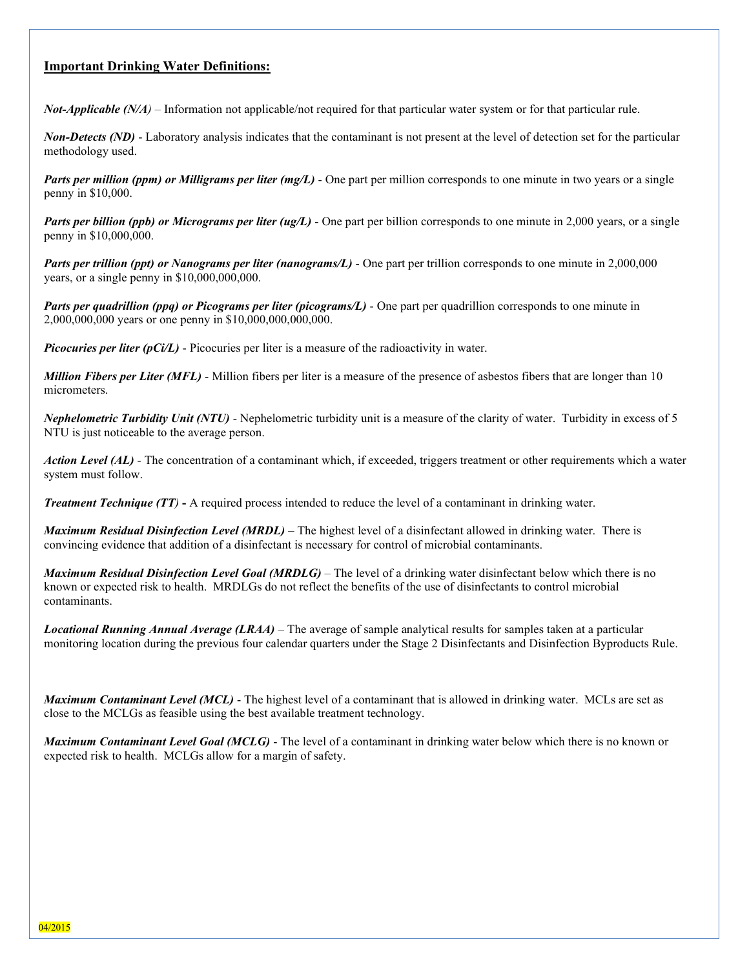# **Important Drinking Water Definitions:**

*Not-Applicable (N/A*) – Information not applicable/not required for that particular water system or for that particular rule.

*Non-Detects (ND)* - Laboratory analysis indicates that the contaminant is not present at the level of detection set for the particular methodology used.

*Parts per million (ppm) or Milligrams per liter (mg/L)* - One part per million corresponds to one minute in two years or a single penny in \$10,000.

*Parts per billion (ppb) or Micrograms per liter (ug/L)* - One part per billion corresponds to one minute in 2,000 years, or a single penny in \$10,000,000.

*Parts per trillion (ppt) or Nanograms per liter (nanograms/L)* - One part per trillion corresponds to one minute in 2,000,000 years, or a single penny in \$10,000,000,000.

*Parts per quadrillion (ppq) or Picograms per liter (picograms/L)* - One part per quadrillion corresponds to one minute in 2,000,000,000 years or one penny in \$10,000,000,000,000.

*Picocuries per liter (pCi/L)* - Picocuries per liter is a measure of the radioactivity in water.

*Million Fibers per Liter (MFL)* - Million fibers per liter is a measure of the presence of asbestos fibers that are longer than 10 micrometers.

*Nephelometric Turbidity Unit (NTU)* - Nephelometric turbidity unit is a measure of the clarity of water. Turbidity in excess of 5 NTU is just noticeable to the average person.

*Action Level (AL) -* The concentration of a contaminant which, if exceeded, triggers treatment or other requirements which a water system must follow.

*Treatment Technique (TT)* **-** A required process intended to reduce the level of a contaminant in drinking water.

*Maximum Residual Disinfection Level (MRDL)* – The highest level of a disinfectant allowed in drinking water. There is convincing evidence that addition of a disinfectant is necessary for control of microbial contaminants.

*Maximum Residual Disinfection Level Goal (MRDLG)* – The level of a drinking water disinfectant below which there is no known or expected risk to health. MRDLGs do not reflect the benefits of the use of disinfectants to control microbial contaminants.

*Locational Running Annual Average (LRAA)* – The average of sample analytical results for samples taken at a particular monitoring location during the previous four calendar quarters under the Stage 2 Disinfectants and Disinfection Byproducts Rule.

*Maximum Contaminant Level (MCL)* - The highest level of a contaminant that is allowed in drinking water. MCLs are set as close to the MCLGs as feasible using the best available treatment technology.

*Maximum Contaminant Level Goal (MCLG)* - The level of a contaminant in drinking water below which there is no known or expected risk to health. MCLGs allow for a margin of safety.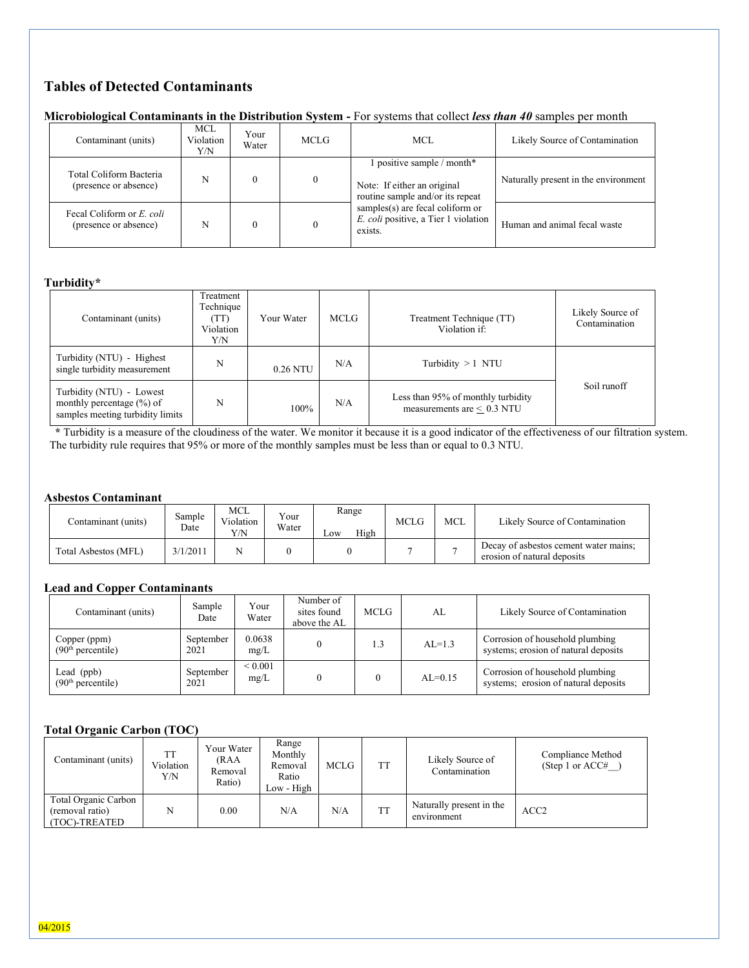# **Tables of Detected Contaminants**

| Microbiological Contaminants in the Distribution System - For systems that collect less than 40 samples per month |  |  |
|-------------------------------------------------------------------------------------------------------------------|--|--|
|                                                                                                                   |  |  |
|                                                                                                                   |  |  |
|                                                                                                                   |  |  |

| . .                                                |                         |               |          |                                                                                               |                                      |
|----------------------------------------------------|-------------------------|---------------|----------|-----------------------------------------------------------------------------------------------|--------------------------------------|
| Contaminant (units)                                | MCL<br>Violation<br>Y/N | Your<br>Water | MCLG     | MCL                                                                                           | Likely Source of Contamination       |
| Total Coliform Bacteria<br>(presence or absence)   | N                       |               | $\Omega$ | 1 positive sample / month*<br>Note: If either an original<br>routine sample and/or its repeat | Naturally present in the environment |
| Fecal Coliform or E. coli<br>(presence or absence) | N                       |               |          | samples(s) are fecal coliform or<br>E. coli positive, a Tier 1 violation<br>exists.           | Human and animal fecal waste         |

### **Turbidity\***

| Contaminant (units)                                                                           | Treatment<br>Technique<br>(TT)<br>Violation<br>Y/N | Your Water | MCLG | Treatment Technique (TT)<br>Violation if:                             | Likely Source of<br>Contamination |
|-----------------------------------------------------------------------------------------------|----------------------------------------------------|------------|------|-----------------------------------------------------------------------|-----------------------------------|
| Turbidity (NTU) - Highest<br>single turbidity measurement                                     | N                                                  | 0.26 NTU   | N/A  | Turbidity $>1$ NTU                                                    |                                   |
| Turbidity (NTU) - Lowest<br>monthly percentage $(\% )$ of<br>samples meeting turbidity limits | N                                                  | 100%       | N/A  | Less than 95% of monthly turbidity<br>measurements are $\leq 0.3$ NTU | Soil runoff                       |

 **\*** Turbidity is a measure of the cloudiness of the water. We monitor it because it is a good indicator of the effectiveness of our filtration system. The turbidity rule requires that 95% or more of the monthly samples must be less than or equal to 0.3 NTU.

### **Asbestos Contaminant**

| Contaminant (units)  | Sample<br>Date | MCL<br>Violation<br>Y/N | Your<br>Water | Range<br>High<br>$\sim$ OW | <b>MCLG</b> | <b>MCL</b> | Likely Source of Contamination                                       |
|----------------------|----------------|-------------------------|---------------|----------------------------|-------------|------------|----------------------------------------------------------------------|
| Total Asbestos (MFL) | 3/1/2011       |                         |               |                            |             |            | Decay of asbestos cement water mains;<br>erosion of natural deposits |

### **Lead and Copper Contaminants**

| Contaminant (units)                           | Sample<br>Date    | Your<br>Water        | Number of<br>sites found<br>above the AL | <b>MCLG</b> | AL        | Likely Source of Contamination                                          |
|-----------------------------------------------|-------------------|----------------------|------------------------------------------|-------------|-----------|-------------------------------------------------------------------------|
| Copper (ppm)<br>(90 <sup>th</sup> percentile) | September<br>2021 | 0.0638<br>mg/L       |                                          | 1.3         | $AL=1.3$  | Corrosion of household plumbing<br>systems; erosion of natural deposits |
| Lead $(ppb)$<br>(90 <sup>th</sup> percentile) | September<br>2021 | ${}_{0.001}$<br>mg/L |                                          |             | $AL=0.15$ | Corrosion of household plumbing<br>systems; erosion of natural deposits |

### **Total Organic Carbon (TOC)**

| Contaminant (units)                                      | <b>TT</b><br>Violation<br>Y/N | Your Water<br>(RAA<br>Removal<br>Ratio) | Range<br>Monthly<br>Removal<br>Ratio<br>Low - High | <b>MCLG</b> | <b>TT</b> | Likely Source of<br>Contamination       | Compliance Method<br>(Step 1 or $ACC\#$ |
|----------------------------------------------------------|-------------------------------|-----------------------------------------|----------------------------------------------------|-------------|-----------|-----------------------------------------|-----------------------------------------|
| Total Organic Carbon<br>(removal ratio)<br>(TOC)-TREATED | N                             | 0.00                                    | N/A                                                | N/A         | <b>TT</b> | Naturally present in the<br>environment | ACC <sub>2</sub>                        |